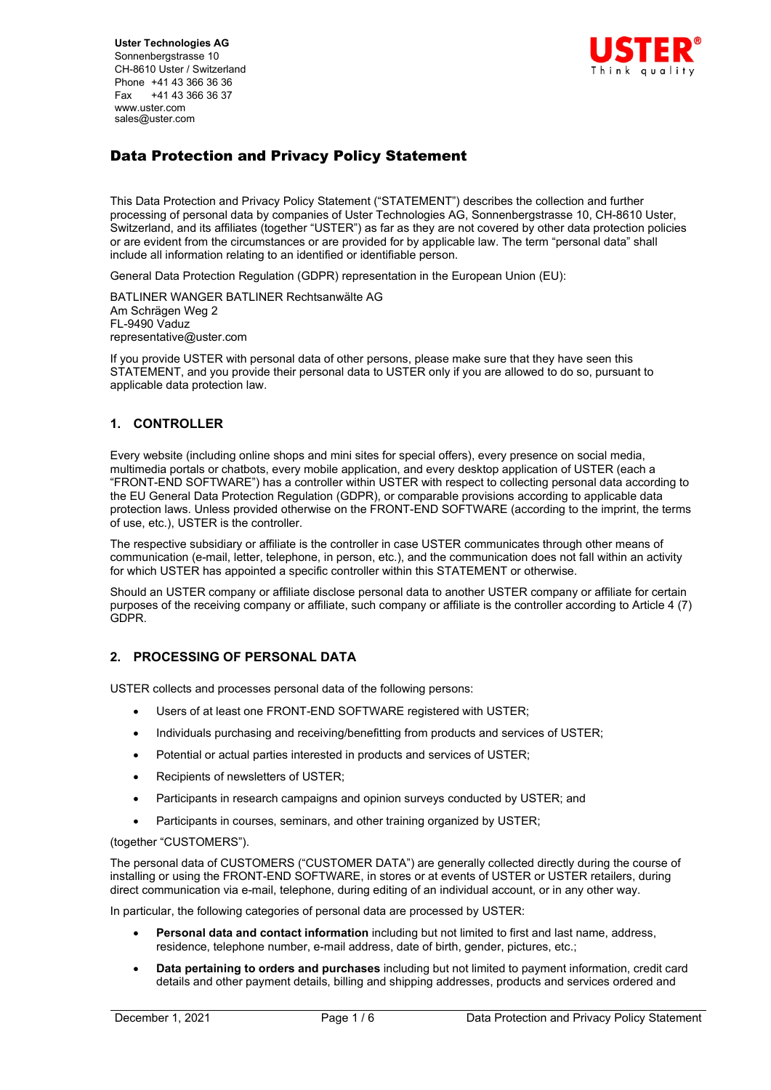**Uster Technologies AG** Sonnenbergstrasse 10 CH-8610 Uster / Switzerland Phone +41 43 366 36 36 Fax +41 43 366 36 37 www.uster.com sales@uster.com



# Data Protection and Privacy Policy Statement

This Data Protection and Privacy Policy Statement ("STATEMENT") describes the collection and further processing of personal data by companies of Uster Technologies AG, Sonnenbergstrasse 10, CH-8610 Uster, Switzerland, and its affiliates (together "USTER") as far as they are not covered by other data protection policies or are evident from the circumstances or are provided for by applicable law. The term "personal data" shall include all information relating to an identified or identifiable person.

General Data Protection Regulation (GDPR) representation in the European Union (EU):

BATLINER WANGER BATLINER Rechtsanwälte AG Am Schrägen Weg 2 FL-9490 Vaduz representative@uster.com

If you provide USTER with personal data of other persons, please make sure that they have seen this STATEMENT, and you provide their personal data to USTER only if you are allowed to do so, pursuant to applicable data protection law.

# **1. CONTROLLER**

Every website (including online shops and mini sites for special offers), every presence on social media, multimedia portals or chatbots, every mobile application, and every desktop application of USTER (each a "FRONT-END SOFTWARE") has a controller within USTER with respect to collecting personal data according to the EU General Data Protection Regulation (GDPR), or comparable provisions according to applicable data protection laws. Unless provided otherwise on the FRONT-END SOFTWARE (according to the imprint, the terms of use, etc.), USTER is the controller.

The respective subsidiary or affiliate is the controller in case USTER communicates through other means of communication (e-mail, letter, telephone, in person, etc.), and the communication does not fall within an activity for which USTER has appointed a specific controller within this STATEMENT or otherwise.

Should an USTER company or affiliate disclose personal data to another USTER company or affiliate for certain purposes of the receiving company or affiliate, such company or affiliate is the controller according to Article 4 (7) GDPR.

### **2. PROCESSING OF PERSONAL DATA**

USTER collects and processes personal data of the following persons:

- Users of at least one FRONT-END SOFTWARE registered with USTER;
- Individuals purchasing and receiving/benefitting from products and services of USTER;
- Potential or actual parties interested in products and services of USTER;
- Recipients of newsletters of USTER;
- Participants in research campaigns and opinion surveys conducted by USTER; and
- Participants in courses, seminars, and other training organized by USTER;

### (together "CUSTOMERS").

The personal data of CUSTOMERS ("CUSTOMER DATA") are generally collected directly during the course of installing or using the FRONT-END SOFTWARE, in stores or at events of USTER or USTER retailers, during direct communication via e-mail, telephone, during editing of an individual account, or in any other way.

In particular, the following categories of personal data are processed by USTER:

- **Personal data and contact information** including but not limited to first and last name, address, residence, telephone number, e-mail address, date of birth, gender, pictures, etc.;
- **Data pertaining to orders and purchases** including but not limited to payment information, credit card details and other payment details, billing and shipping addresses, products and services ordered and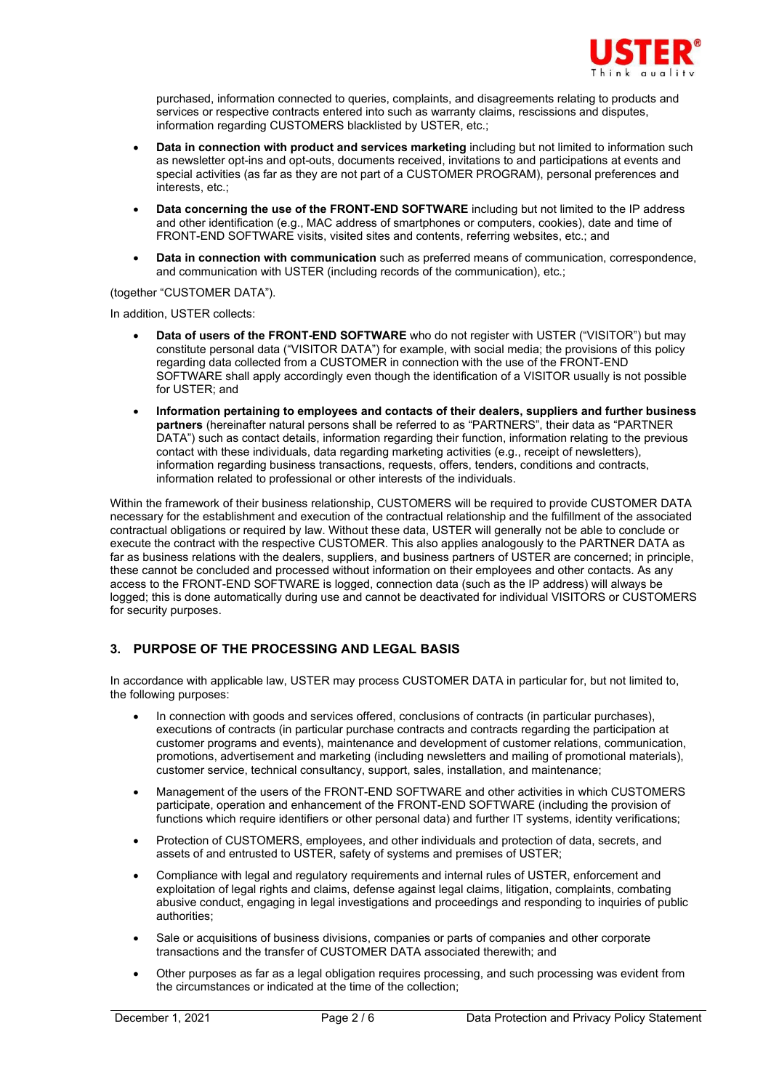

purchased, information connected to queries, complaints, and disagreements relating to products and services or respective contracts entered into such as warranty claims, rescissions and disputes, information regarding CUSTOMERS blacklisted by USTER, etc.;

- **Data in connection with product and services marketing** including but not limited to information such as newsletter opt-ins and opt-outs, documents received, invitations to and participations at events and special activities (as far as they are not part of a CUSTOMER PROGRAM), personal preferences and interests, etc.;
- **Data concerning the use of the FRONT-END SOFTWARE** including but not limited to the IP address and other identification (e.g., MAC address of smartphones or computers, cookies), date and time of FRONT-END SOFTWARE visits, visited sites and contents, referring websites, etc.; and
- **Data in connection with communication** such as preferred means of communication, correspondence, and communication with USTER (including records of the communication), etc.;

### (together "CUSTOMER DATA").

In addition, USTER collects:

- **Data of users of the FRONT-END SOFTWARE** who do not register with USTER ("VISITOR") but may constitute personal data ("VISITOR DATA") for example, with social media; the provisions of this policy regarding data collected from a CUSTOMER in connection with the use of the FRONT-END SOFTWARE shall apply accordingly even though the identification of a VISITOR usually is not possible for USTER; and
- **Information pertaining to employees and contacts of their dealers, suppliers and further business partners** (hereinafter natural persons shall be referred to as "PARTNERS", their data as "PARTNER DATA") such as contact details, information regarding their function, information relating to the previous contact with these individuals, data regarding marketing activities (e.g., receipt of newsletters), information regarding business transactions, requests, offers, tenders, conditions and contracts, information related to professional or other interests of the individuals.

Within the framework of their business relationship, CUSTOMERS will be required to provide CUSTOMER DATA necessary for the establishment and execution of the contractual relationship and the fulfillment of the associated contractual obligations or required by law. Without these data, USTER will generally not be able to conclude or execute the contract with the respective CUSTOMER. This also applies analogously to the PARTNER DATA as far as business relations with the dealers, suppliers, and business partners of USTER are concerned; in principle, these cannot be concluded and processed without information on their employees and other contacts. As any access to the FRONT-END SOFTWARE is logged, connection data (such as the IP address) will always be logged; this is done automatically during use and cannot be deactivated for individual VISITORS or CUSTOMERS for security purposes.

### **3. PURPOSE OF THE PROCESSING AND LEGAL BASIS**

In accordance with applicable law, USTER may process CUSTOMER DATA in particular for, but not limited to, the following purposes:

- In connection with goods and services offered, conclusions of contracts (in particular purchases), executions of contracts (in particular purchase contracts and contracts regarding the participation at customer programs and events), maintenance and development of customer relations, communication, promotions, advertisement and marketing (including newsletters and mailing of promotional materials), customer service, technical consultancy, support, sales, installation, and maintenance;
- Management of the users of the FRONT-END SOFTWARE and other activities in which CUSTOMERS participate, operation and enhancement of the FRONT-END SOFTWARE (including the provision of functions which require identifiers or other personal data) and further IT systems, identity verifications;
- Protection of CUSTOMERS, employees, and other individuals and protection of data, secrets, and assets of and entrusted to USTER, safety of systems and premises of USTER;
- Compliance with legal and regulatory requirements and internal rules of USTER, enforcement and exploitation of legal rights and claims, defense against legal claims, litigation, complaints, combating abusive conduct, engaging in legal investigations and proceedings and responding to inquiries of public authorities;
- Sale or acquisitions of business divisions, companies or parts of companies and other corporate transactions and the transfer of CUSTOMER DATA associated therewith; and
- Other purposes as far as a legal obligation requires processing, and such processing was evident from the circumstances or indicated at the time of the collection;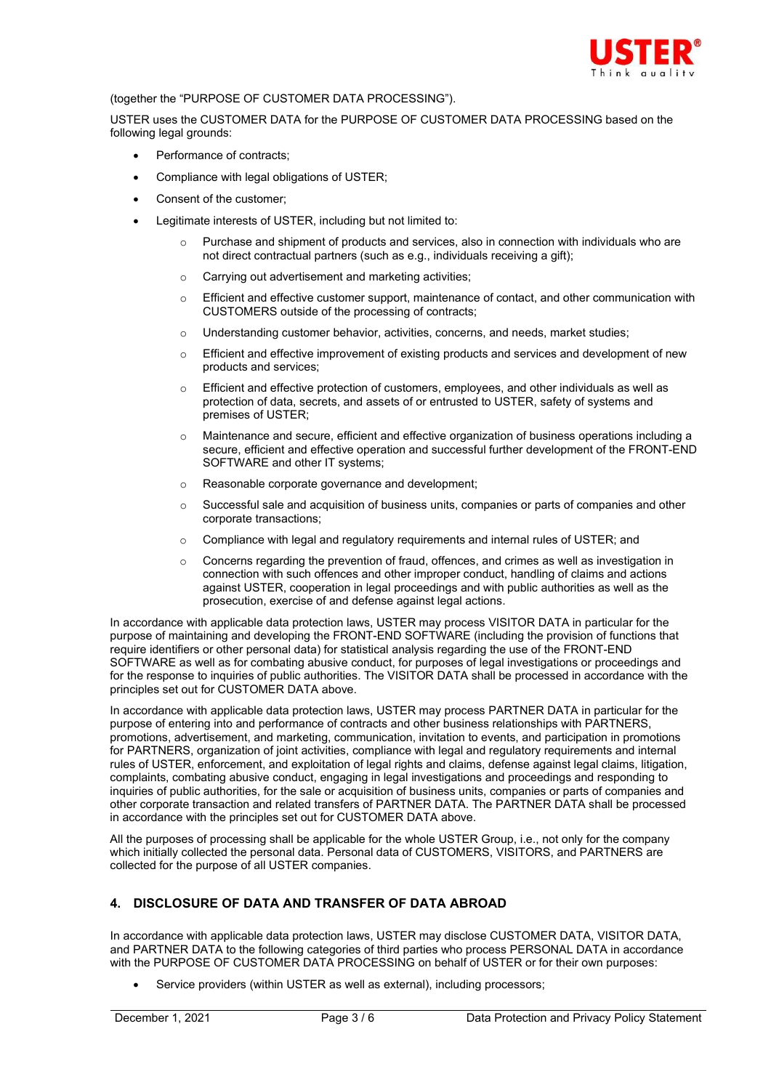

### (together the "PURPOSE OF CUSTOMER DATA PROCESSING").

USTER uses the CUSTOMER DATA for the PURPOSE OF CUSTOMER DATA PROCESSING based on the following legal grounds:

- Performance of contracts;
- Compliance with legal obligations of USTER;
- Consent of the customer;
- Legitimate interests of USTER, including but not limited to:
	- Purchase and shipment of products and services, also in connection with individuals who are not direct contractual partners (such as e.g., individuals receiving a gift);
	- o Carrying out advertisement and marketing activities;
	- $\circ$  Efficient and effective customer support, maintenance of contact, and other communication with CUSTOMERS outside of the processing of contracts;
	- o Understanding customer behavior, activities, concerns, and needs, market studies;
	- $\circ$  Efficient and effective improvement of existing products and services and development of new products and services;
	- $\circ$  Efficient and effective protection of customers, employees, and other individuals as well as protection of data, secrets, and assets of or entrusted to USTER, safety of systems and premises of USTER;
	- o Maintenance and secure, efficient and effective organization of business operations including a secure, efficient and effective operation and successful further development of the FRONT-END SOFTWARE and other IT systems:
	- o Reasonable corporate governance and development;
	- $\circ$  Successful sale and acquisition of business units, companies or parts of companies and other corporate transactions;
	- $\circ$  Compliance with legal and regulatory requirements and internal rules of USTER; and
	- $\circ$  Concerns regarding the prevention of fraud, offences, and crimes as well as investigation in connection with such offences and other improper conduct, handling of claims and actions against USTER, cooperation in legal proceedings and with public authorities as well as the prosecution, exercise of and defense against legal actions.

In accordance with applicable data protection laws, USTER may process VISITOR DATA in particular for the purpose of maintaining and developing the FRONT-END SOFTWARE (including the provision of functions that require identifiers or other personal data) for statistical analysis regarding the use of the FRONT-END SOFTWARE as well as for combating abusive conduct, for purposes of legal investigations or proceedings and for the response to inquiries of public authorities. The VISITOR DATA shall be processed in accordance with the principles set out for CUSTOMER DATA above.

In accordance with applicable data protection laws, USTER may process PARTNER DATA in particular for the purpose of entering into and performance of contracts and other business relationships with PARTNERS. promotions, advertisement, and marketing, communication, invitation to events, and participation in promotions for PARTNERS, organization of joint activities, compliance with legal and regulatory requirements and internal rules of USTER, enforcement, and exploitation of legal rights and claims, defense against legal claims, litigation, complaints, combating abusive conduct, engaging in legal investigations and proceedings and responding to inquiries of public authorities, for the sale or acquisition of business units, companies or parts of companies and other corporate transaction and related transfers of PARTNER DATA. The PARTNER DATA shall be processed in accordance with the principles set out for CUSTOMER DATA above.

All the purposes of processing shall be applicable for the whole USTER Group, i.e., not only for the company which initially collected the personal data. Personal data of CUSTOMERS, VISITORS, and PARTNERS are collected for the purpose of all USTER companies.

# **4. DISCLOSURE OF DATA AND TRANSFER OF DATA ABROAD**

In accordance with applicable data protection laws, USTER may disclose CUSTOMER DATA, VISITOR DATA, and PARTNER DATA to the following categories of third parties who process PERSONAL DATA in accordance with the PURPOSE OF CUSTOMER DATA PROCESSING on behalf of USTER or for their own purposes:

Service providers (within USTER as well as external), including processors;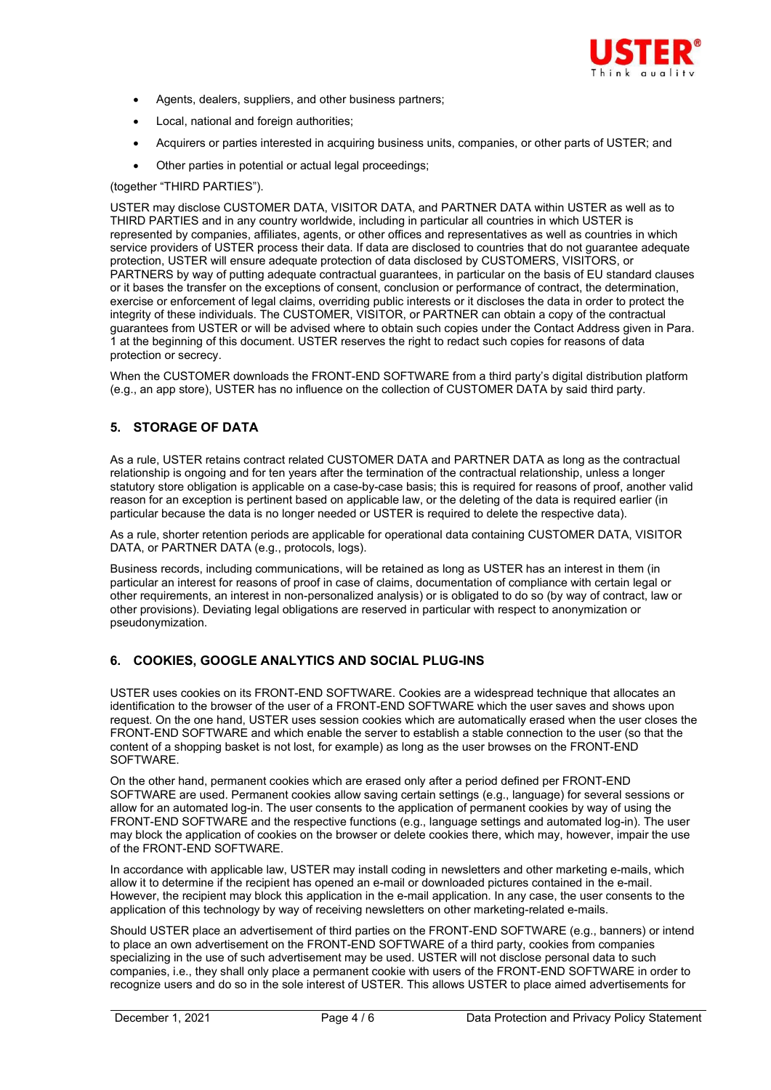

- Agents, dealers, suppliers, and other business partners;
- Local, national and foreign authorities;
- Acquirers or parties interested in acquiring business units, companies, or other parts of USTER; and
- Other parties in potential or actual legal proceedings;

#### (together "THIRD PARTIES").

USTER may disclose CUSTOMER DATA, VISITOR DATA, and PARTNER DATA within USTER as well as to THIRD PARTIES and in any country worldwide, including in particular all countries in which USTER is represented by companies, affiliates, agents, or other offices and representatives as well as countries in which service providers of USTER process their data. If data are disclosed to countries that do not guarantee adequate protection, USTER will ensure adequate protection of data disclosed by CUSTOMERS, VISITORS, or PARTNERS by way of putting adequate contractual guarantees, in particular on the basis of EU standard clauses or it bases the transfer on the exceptions of consent, conclusion or performance of contract, the determination, exercise or enforcement of legal claims, overriding public interests or it discloses the data in order to protect the integrity of these individuals. The CUSTOMER, VISITOR, or PARTNER can obtain a copy of the contractual guarantees from USTER or will be advised where to obtain such copies under the Contact Address given in Para. 1 at the beginning of this document. USTER reserves the right to redact such copies for reasons of data protection or secrecy.

When the CUSTOMER downloads the FRONT-END SOFTWARE from a third party's digital distribution platform (e.g., an app store), USTER has no influence on the collection of CUSTOMER DATA by said third party.

### **5. STORAGE OF DATA**

As a rule, USTER retains contract related CUSTOMER DATA and PARTNER DATA as long as the contractual relationship is ongoing and for ten years after the termination of the contractual relationship, unless a longer statutory store obligation is applicable on a case-by-case basis; this is required for reasons of proof, another valid reason for an exception is pertinent based on applicable law, or the deleting of the data is required earlier (in particular because the data is no longer needed or USTER is required to delete the respective data).

As a rule, shorter retention periods are applicable for operational data containing CUSTOMER DATA, VISITOR DATA, or PARTNER DATA (e.g., protocols, logs).

Business records, including communications, will be retained as long as USTER has an interest in them (in particular an interest for reasons of proof in case of claims, documentation of compliance with certain legal or other requirements, an interest in non-personalized analysis) or is obligated to do so (by way of contract, law or other provisions). Deviating legal obligations are reserved in particular with respect to anonymization or pseudonymization.

### **6. COOKIES, GOOGLE ANALYTICS AND SOCIAL PLUG-INS**

USTER uses cookies on its FRONT-END SOFTWARE. Cookies are a widespread technique that allocates an identification to the browser of the user of a FRONT-END SOFTWARE which the user saves and shows upon request. On the one hand, USTER uses session cookies which are automatically erased when the user closes the FRONT-END SOFTWARE and which enable the server to establish a stable connection to the user (so that the content of a shopping basket is not lost, for example) as long as the user browses on the FRONT-END SOFTWARE.

On the other hand, permanent cookies which are erased only after a period defined per FRONT-END SOFTWARE are used. Permanent cookies allow saving certain settings (e.g., language) for several sessions or allow for an automated log-in. The user consents to the application of permanent cookies by way of using the FRONT-END SOFTWARE and the respective functions (e.g., language settings and automated log-in). The user may block the application of cookies on the browser or delete cookies there, which may, however, impair the use of the FRONT-END SOFTWARE.

In accordance with applicable law, USTER may install coding in newsletters and other marketing e-mails, which allow it to determine if the recipient has opened an e-mail or downloaded pictures contained in the e-mail. However, the recipient may block this application in the e-mail application. In any case, the user consents to the application of this technology by way of receiving newsletters on other marketing-related e-mails.

Should USTER place an advertisement of third parties on the FRONT-END SOFTWARE (e.g., banners) or intend to place an own advertisement on the FRONT-END SOFTWARE of a third party, cookies from companies specializing in the use of such advertisement may be used. USTER will not disclose personal data to such companies, i.e., they shall only place a permanent cookie with users of the FRONT-END SOFTWARE in order to recognize users and do so in the sole interest of USTER. This allows USTER to place aimed advertisements for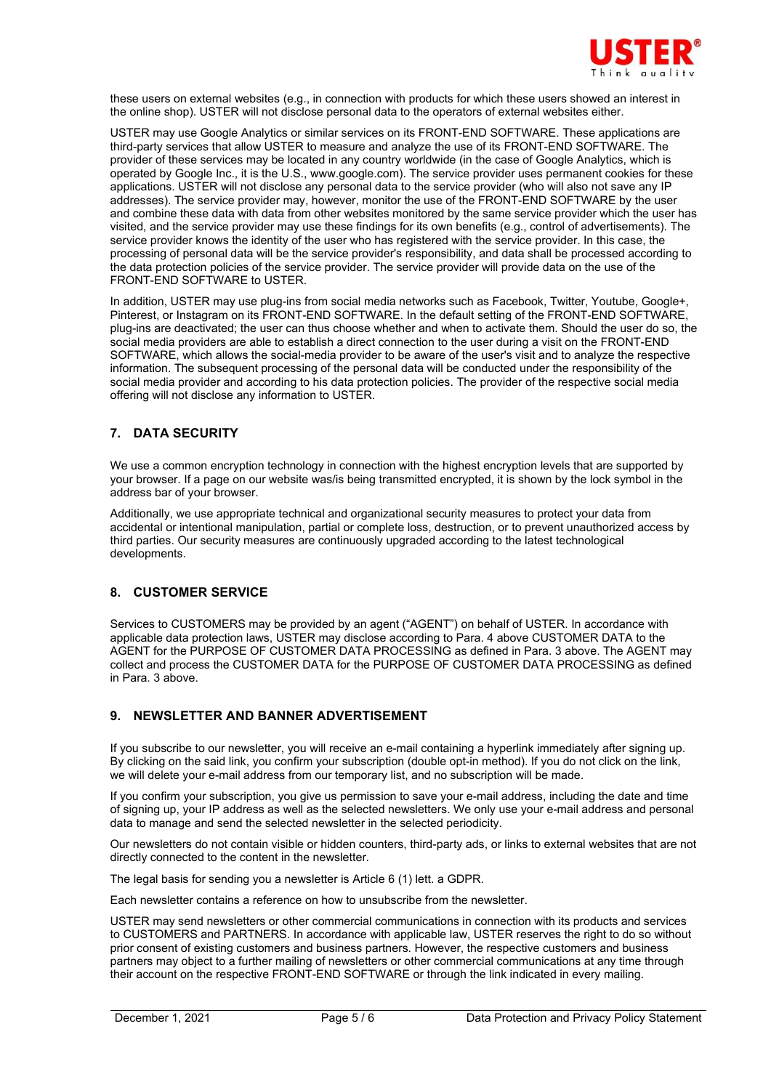

these users on external websites (e.g., in connection with products for which these users showed an interest in the online shop). USTER will not disclose personal data to the operators of external websites either.

USTER may use Google Analytics or similar services on its FRONT-END SOFTWARE. These applications are third-party services that allow USTER to measure and analyze the use of its FRONT-END SOFTWARE. The provider of these services may be located in any country worldwide (in the case of Google Analytics, which is operated by Google Inc., it is the U.S., www.google.com). The service provider uses permanent cookies for these applications. USTER will not disclose any personal data to the service provider (who will also not save any IP addresses). The service provider may, however, monitor the use of the FRONT-END SOFTWARE by the user and combine these data with data from other websites monitored by the same service provider which the user has visited, and the service provider may use these findings for its own benefits (e.g., control of advertisements). The service provider knows the identity of the user who has registered with the service provider. In this case, the processing of personal data will be the service provider's responsibility, and data shall be processed according to the data protection policies of the service provider. The service provider will provide data on the use of the FRONT-END SOFTWARE to USTER.

In addition, USTER may use plug-ins from social media networks such as Facebook, Twitter, Youtube, Google+, Pinterest, or Instagram on its FRONT-END SOFTWARE. In the default setting of the FRONT-END SOFTWARE, plug-ins are deactivated; the user can thus choose whether and when to activate them. Should the user do so, the social media providers are able to establish a direct connection to the user during a visit on the FRONT-END SOFTWARE, which allows the social-media provider to be aware of the user's visit and to analyze the respective information. The subsequent processing of the personal data will be conducted under the responsibility of the social media provider and according to his data protection policies. The provider of the respective social media offering will not disclose any information to USTER.

# **7. DATA SECURITY**

We use a common encryption technology in connection with the highest encryption levels that are supported by your browser. If a page on our website was/is being transmitted encrypted, it is shown by the lock symbol in the address bar of your browser.

Additionally, we use appropriate technical and organizational security measures to protect your data from accidental or intentional manipulation, partial or complete loss, destruction, or to prevent unauthorized access by third parties. Our security measures are continuously upgraded according to the latest technological developments.

### **8. CUSTOMER SERVICE**

Services to CUSTOMERS may be provided by an agent ("AGENT") on behalf of USTER. In accordance with applicable data protection laws, USTER may disclose according to Para. 4 above CUSTOMER DATA to the AGENT for the PURPOSE OF CUSTOMER DATA PROCESSING as defined in Para. 3 above. The AGENT may collect and process the CUSTOMER DATA for the PURPOSE OF CUSTOMER DATA PROCESSING as defined in Para. 3 above.

### **9. NEWSLETTER AND BANNER ADVERTISEMENT**

If you subscribe to our newsletter, you will receive an e-mail containing a hyperlink immediately after signing up. By clicking on the said link, you confirm your subscription (double opt-in method). If you do not click on the link, we will delete your e-mail address from our temporary list, and no subscription will be made.

If you confirm your subscription, you give us permission to save your e-mail address, including the date and time of signing up, your IP address as well as the selected newsletters. We only use your e-mail address and personal data to manage and send the selected newsletter in the selected periodicity.

Our newsletters do not contain visible or hidden counters, third-party ads, or links to external websites that are not directly connected to the content in the newsletter.

The legal basis for sending you a newsletter is Article 6 (1) lett. a GDPR.

Each newsletter contains a reference on how to unsubscribe from the newsletter.

USTER may send newsletters or other commercial communications in connection with its products and services to CUSTOMERS and PARTNERS. In accordance with applicable law, USTER reserves the right to do so without prior consent of existing customers and business partners. However, the respective customers and business partners may object to a further mailing of newsletters or other commercial communications at any time through their account on the respective FRONT-END SOFTWARE or through the link indicated in every mailing.